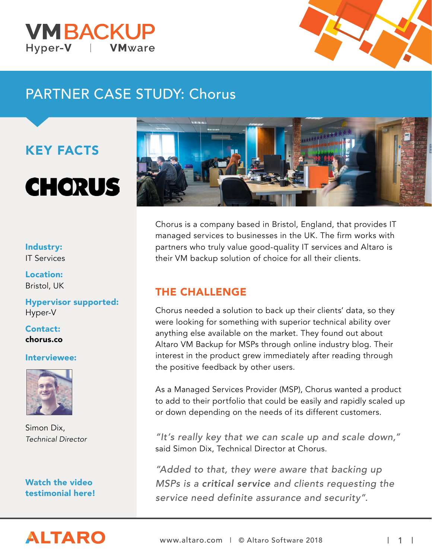



# PARTNER CASE STUDY: Chorus

## KEY FACTS

# **CHORUS**

#### Industry: IT Services

Location: Bristol, UK

Hypervisor supported: Hyper-V

Contact: chorus.co

#### Interviewee:



Simon Dix, *Technical Director*

[Watch the video](https://www.altaro.com/msp/) [testimonial here!](https://www.altaro.com/msp/)

**ALTARO** 



Chorus is a company based in Bristol, England, that provides IT managed services to businesses in the UK. The firm works with partners who truly value good-quality IT services and Altaro is their VM backup solution of choice for all their clients.

#### THE CHALLENGE

Chorus needed a solution to back up their clients' data, so they were looking for something with superior technical ability over anything else available on the market. They found out about Altaro VM Backup for MSPs through online industry blog. Their interest in the product grew immediately after reading through the positive feedback by other users.

As a Managed Services Provider (MSP), Chorus wanted a product to add to their portfolio that could be easily and rapidly scaled up or down depending on the needs of its different customers.

"It's really key that we can scale up and scale down," said Simon Dix, Technical Director at Chorus.

"Added to that, they were aware that backing up MSPs is a critical service and clients requesting the service need definite assurance and security".